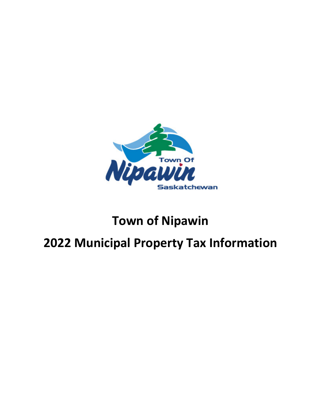

# **Town of Nipawin**

# **2022 Municipal Property Tax Information**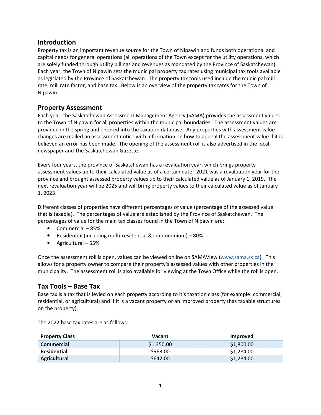# **Introduction**

Property tax is an important revenue source for the Town of Nipawin and funds both operational and capital needs for general operations (all operations of the Town except for the utility operations, which are solely funded through utility billings and revenues as mandated by the Province of Saskatchewan). Each year, the Town of Nipawin sets the municipal property tax rates using municipal tax tools available as legislated by the Province of Saskatchewan. The property tax tools used include the municipal mill rate, mill rate factor, and base tax. Below is an overview of the property tax rates for the Town of Nipawin.

# **Property Assessment**

Each year, the Saskatchewan Assessment Management Agency (SAMA) provides the assessment values to the Town of Nipawin for all properties within the municipal boundaries. The assessment values are provided in the spring and entered into the taxation database. Any properties with assessment value changes are mailed an assessment notice with information on how to appeal the assessment value if it is believed an error has been made. The opening of the assessment roll is also advertised in the local newspaper and The Saskatchewan Gazette.

Every four years, the province of Saskatchewan has a revaluation year, which brings property assessment values up to their calculated value as of a certain date. 2021 was a revaluation year for the province and brought assessed property values up to their calculated value as of January 1, 2019. The next revaluation year will be 2025 and will bring property values to their calculated value as of January 1, 2023.

Different classes of properties have different percentages of value (percentage of the assessed value that is taxable). The percentages of value are established by the Province of Saskatchewan. The percentages of value for the main tax classes found in the Town of Nipawin are:

- Commercial 85%
- Residential (including multi-residential & condominium) 80%
- Agricultural 55%

Once the assessment roll is open, values can be viewed online on SAMAView (www.sama.sk.ca). This allows for a property owner to compare their property's assessed values with other properties in the municipality. The assessment roll is also available for viewing at the Town Office while the roll is open.

## **Tax Tools – Base Tax**

Base tax is a tax that is levied on each property according to it's taxation class (for example: commercial, residential, or agricultural) and if it is a vacant property or an improved property (has taxable structures on the property).

The 2022 base tax rates are as follows:

| <b>Property Class</b> | Vacant     | <b>Improved</b> |
|-----------------------|------------|-----------------|
| <b>Commercial</b>     | \$1,350.00 | \$1,800.00      |
| Residential           | \$963.00   | \$1,284.00      |
| Agricultural          | \$642.00   | \$1,284.00      |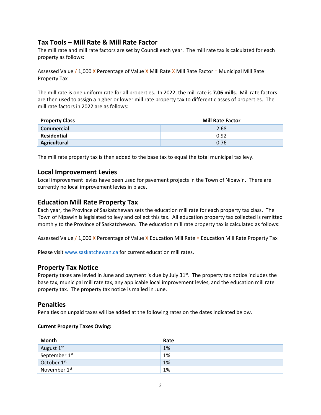# **Tax Tools – Mill Rate & Mill Rate Factor**

The mill rate and mill rate factors are set by Council each year. The mill rate tax is calculated for each property as follows:

Assessed Value / 1,000 X Percentage of Value X Mill Rate X Mill Rate Factor = Municipal Mill Rate Property Tax

The mill rate is one uniform rate for all properties. In 2022, the mill rate is **7.06 mills**. Mill rate factors are then used to assign a higher or lower mill rate property tax to different classes of properties. The mill rate factors in 2022 are as follows:

| <b>Property Class</b> | <b>Mill Rate Factor</b> |
|-----------------------|-------------------------|
| <b>Commercial</b>     | 2.68                    |
| Residential           | 0.92                    |
| Agricultural          | 0.76                    |

The mill rate property tax is then added to the base tax to equal the total municipal tax levy.

## **Local Improvement Levies**

Local improvement levies have been used for pavement projects in the Town of Nipawin. There are currently no local improvement levies in place.

## **Education Mill Rate Property Tax**

Each year, the Province of Saskatchewan sets the education mill rate for each property tax class. The Town of Nipawin is legislated to levy and collect this tax. All education property tax collected is remitted monthly to the Province of Saskatchewan. The education mill rate property tax is calculated as follows:

Assessed Value / 1,000 X Percentage of Value X Education Mill Rate = Education Mill Rate Property Tax

Please visit www.saskatchewan.ca for current education mill rates.

## **Property Tax Notice**

Property taxes are levied in June and payment is due by July 31<sup>st</sup>. The property tax notice includes the base tax, municipal mill rate tax, any applicable local improvement levies, and the education mill rate property tax. The property tax notice is mailed in June.

## **Penalties**

Penalties on unpaid taxes will be added at the following rates on the dates indicated below.

### **Current Property Taxes Owing:**

| Month                    | Rate |
|--------------------------|------|
| August 1st               | 1%   |
| September 1st            | 1%   |
| October 1st              | 1%   |
| November 1 <sup>st</sup> | 1%   |